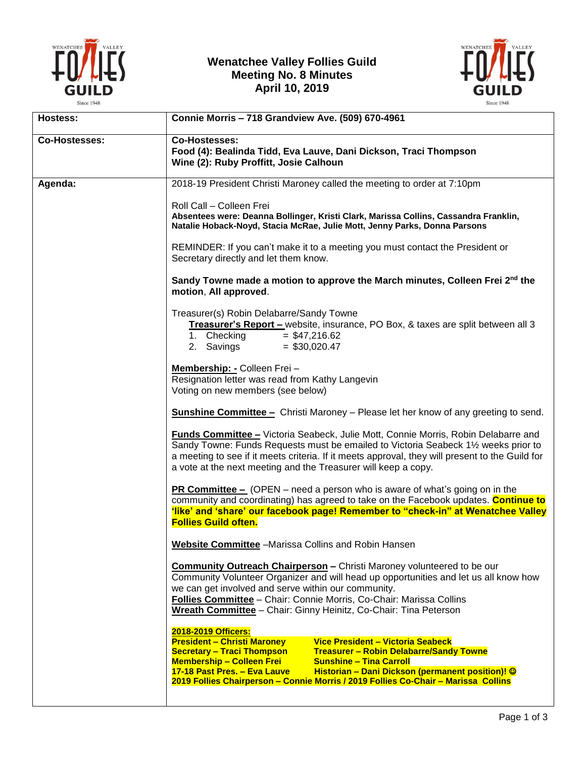

## **Wenatchee Valley Follies Guild Meeting No. 8 Minutes April 10, 2019**



| <b>Co-Hostesses:</b>                                                                                                                                                                                                                                                                                                                                                    |
|-------------------------------------------------------------------------------------------------------------------------------------------------------------------------------------------------------------------------------------------------------------------------------------------------------------------------------------------------------------------------|
| Food (4): Bealinda Tidd, Eva Lauve, Dani Dickson, Traci Thompson<br>Wine (2): Ruby Proffitt, Josie Calhoun                                                                                                                                                                                                                                                              |
| 2018-19 President Christi Maroney called the meeting to order at 7:10pm                                                                                                                                                                                                                                                                                                 |
| Roll Call - Colleen Frei<br>Absentees were: Deanna Bollinger, Kristi Clark, Marissa Collins, Cassandra Franklin,<br>Natalie Hoback-Noyd, Stacia McRae, Julie Mott, Jenny Parks, Donna Parsons                                                                                                                                                                           |
| REMINDER: If you can't make it to a meeting you must contact the President or<br>Secretary directly and let them know.                                                                                                                                                                                                                                                  |
| Sandy Towne made a motion to approve the March minutes, Colleen Frei 2nd the<br>motion, All approved.                                                                                                                                                                                                                                                                   |
| Treasurer(s) Robin Delabarre/Sandy Towne<br>Treasurer's Report - website, insurance, PO Box, & taxes are split between all 3<br>1. Checking<br>$= $47,216.62$<br>2. Savings<br>$=$ \$30,020.47                                                                                                                                                                          |
| Membership: - Colleen Frei -<br>Resignation letter was read from Kathy Langevin<br>Voting on new members (see below)                                                                                                                                                                                                                                                    |
| <b>Sunshine Committee -</b> Christi Maroney - Please let her know of any greeting to send.                                                                                                                                                                                                                                                                              |
| <b>Funds Committee - Victoria Seabeck, Julie Mott, Connie Morris, Robin Delabarre and</b><br>Sandy Towne: Funds Requests must be emailed to Victoria Seabeck 1½ weeks prior to<br>a meeting to see if it meets criteria. If it meets approval, they will present to the Guild for<br>a vote at the next meeting and the Treasurer will keep a copy.                     |
| <b>PR Committee –</b> (OPEN – need a person who is aware of what's going on in the<br>community and coordinating) has agreed to take on the Facebook updates. Continue to<br>'like' and 'share' our facebook page! Remember to "check-in" at Wenatchee Valley<br><b>Follies Guild often.</b>                                                                            |
| <b>Website Committee</b> - Marissa Collins and Robin Hansen                                                                                                                                                                                                                                                                                                             |
| <b>Community Outreach Chairperson - Christi Maroney volunteered to be our</b><br>Community Volunteer Organizer and will head up opportunities and let us all know how<br>we can get involved and serve within our community.<br>Follies Committee - Chair: Connie Morris, Co-Chair: Marissa Collins<br>Wreath Committee - Chair: Ginny Heinitz, Co-Chair: Tina Peterson |
| 2018-2019 Officers:                                                                                                                                                                                                                                                                                                                                                     |
| <b>President - Christi Maroney</b><br>Vice President - Victoria Seabeck<br><b>Secretary - Traci Thompson</b><br><b>Treasurer - Robin Delabarre/Sandy Towne</b>                                                                                                                                                                                                          |
| <b>Membership - Colleen Frei</b><br><b>Sunshine - Tina Carroll</b>                                                                                                                                                                                                                                                                                                      |
| Historian - Dani Dickson (permanent position)! ©<br>17-18 Past Pres. - Eva Lauve                                                                                                                                                                                                                                                                                        |
|                                                                                                                                                                                                                                                                                                                                                                         |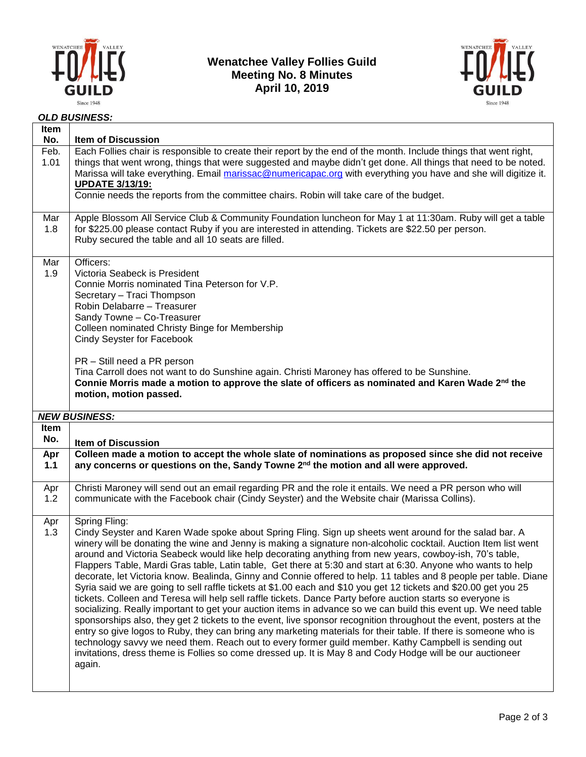

### **Wenatchee Valley Follies Guild Meeting No. 8 Minutes April 10, 2019**



#### *OLD BUSINESS:*

| Feb.<br>1.01       | No.<br><b>Item of Discussion</b><br>Each Follies chair is responsible to create their report by the end of the month. Include things that went right,<br>things that went wrong, things that were suggested and maybe didn't get done. All things that need to be noted.<br>Marissa will take everything. Email marissac@numericapac.org with everything you have and she will digitize it.<br><b>UPDATE 3/13/19:</b>                                                                                                                            |  |  |  |  |  |  |
|--------------------|--------------------------------------------------------------------------------------------------------------------------------------------------------------------------------------------------------------------------------------------------------------------------------------------------------------------------------------------------------------------------------------------------------------------------------------------------------------------------------------------------------------------------------------------------|--|--|--|--|--|--|
|                    | Connie needs the reports from the committee chairs. Robin will take care of the budget.                                                                                                                                                                                                                                                                                                                                                                                                                                                          |  |  |  |  |  |  |
| Mar<br>1.8         | Apple Blossom All Service Club & Community Foundation luncheon for May 1 at 11:30am. Ruby will get a table<br>for \$225.00 please contact Ruby if you are interested in attending. Tickets are \$22.50 per person.<br>Ruby secured the table and all 10 seats are filled.                                                                                                                                                                                                                                                                        |  |  |  |  |  |  |
| Mar<br>1.9         | Officers:<br>Victoria Seabeck is President<br>Connie Morris nominated Tina Peterson for V.P.<br>Secretary - Traci Thompson<br>Robin Delabarre - Treasurer<br>Sandy Towne - Co-Treasurer<br>Colleen nominated Christy Binge for Membership<br>Cindy Seyster for Facebook<br>PR - Still need a PR person<br>Tina Carroll does not want to do Sunshine again. Christi Maroney has offered to be Sunshine.<br>Connie Morris made a motion to approve the slate of officers as nominated and Karen Wade 2 <sup>nd</sup> the<br>motion, motion passed. |  |  |  |  |  |  |
|                    | <b>NEW BUSINESS:</b>                                                                                                                                                                                                                                                                                                                                                                                                                                                                                                                             |  |  |  |  |  |  |
| <b>Item</b><br>No. | <b>Item of Discussion</b>                                                                                                                                                                                                                                                                                                                                                                                                                                                                                                                        |  |  |  |  |  |  |
| Apr                | Colleen made a motion to accept the whole slate of nominations as proposed since she did not receive                                                                                                                                                                                                                                                                                                                                                                                                                                             |  |  |  |  |  |  |
| 1.1                | any concerns or questions on the, Sandy Towne 2 <sup>nd</sup> the motion and all were approved.                                                                                                                                                                                                                                                                                                                                                                                                                                                  |  |  |  |  |  |  |
| Apr<br>1.2         | Christi Maroney will send out an email regarding PR and the role it entails. We need a PR person who will<br>communicate with the Facebook chair (Cindy Seyster) and the Website chair (Marissa Collins).                                                                                                                                                                                                                                                                                                                                        |  |  |  |  |  |  |